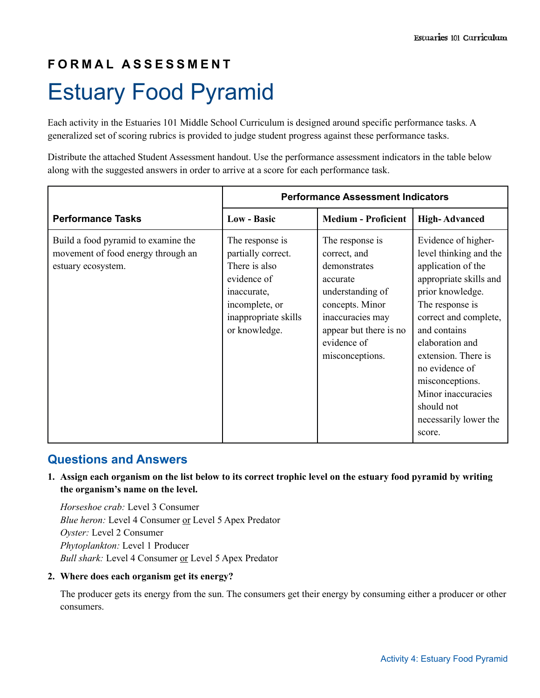# **F O R M A L A S S E S S M E N T** Estuary Food Pyramid

Each activity in the Estuaries 101 Middle School Curriculum is designed around specific performance tasks. A generalized set of scoring rubrics is provided to judge student progress against these performance tasks.

Distribute the attached Student Assessment handout. Use the performance assessment indicators in the table below along with the suggested answers in order to arrive at a score for each performance task.

|                                                                                                 | <b>Performance Assessment Indicators</b>                                                                                                        |                                                                                                                                                                                    |                                                                                                                                                                                                                                                                                                                                     |
|-------------------------------------------------------------------------------------------------|-------------------------------------------------------------------------------------------------------------------------------------------------|------------------------------------------------------------------------------------------------------------------------------------------------------------------------------------|-------------------------------------------------------------------------------------------------------------------------------------------------------------------------------------------------------------------------------------------------------------------------------------------------------------------------------------|
| <b>Performance Tasks</b>                                                                        | <b>Low - Basic</b>                                                                                                                              | <b>Medium - Proficient</b>                                                                                                                                                         | <b>High-Advanced</b>                                                                                                                                                                                                                                                                                                                |
| Build a food pyramid to examine the<br>movement of food energy through an<br>estuary ecosystem. | The response is<br>partially correct.<br>There is also<br>evidence of<br>inaccurate,<br>incomplete, or<br>inappropriate skills<br>or knowledge. | The response is<br>correct, and<br>demonstrates<br>accurate<br>understanding of<br>concepts. Minor<br>inaccuracies may<br>appear but there is no<br>evidence of<br>misconceptions. | Evidence of higher-<br>level thinking and the<br>application of the<br>appropriate skills and<br>prior knowledge.<br>The response is<br>correct and complete,<br>and contains<br>elaboration and<br>extension. There is<br>no evidence of<br>misconceptions.<br>Minor inaccuracies<br>should not<br>necessarily lower the<br>score. |

### **Questions and Answers**

**1. Assign each organism on the list below to its correct trophic level on the estuary food pyramid by writing the organism's name on the level.** 

*Horseshoe crab:* Level 3 Consumer *Blue heron:* Level 4 Consumer or Level 5 Apex Predator *Oyster:* Level 2 Consumer *Phytoplankton:* Level 1 Producer *Bull shark:* Level 4 Consumer or Level 5 Apex Predator

#### **2. Where does each organism get its energy?**

The producer gets its energy from the sun. The consumers get their energy by consuming either a producer or other consumers.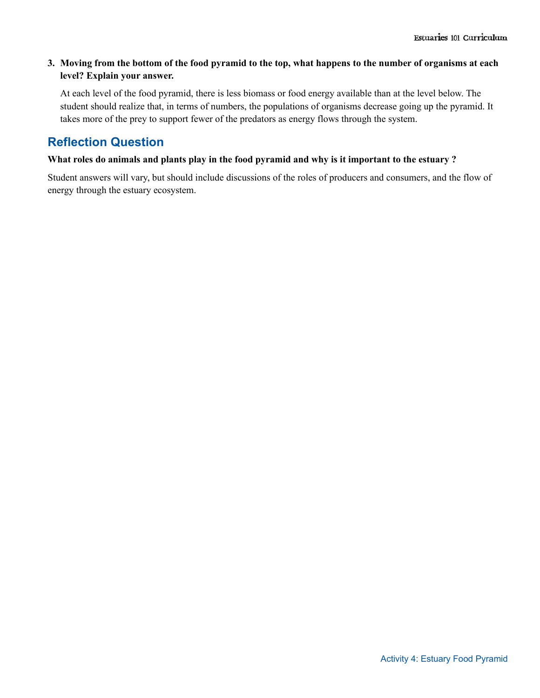#### **3. Moving from the bottom of the food pyramid to the top, what happens to the number of organisms at each level? Explain your answer.**

At each level of the food pyramid, there is less biomass or food energy available than at the level below. The student should realize that, in terms of numbers, the populations of organisms decrease going up the pyramid. It takes more of the prey to support fewer of the predators as energy flows through the system.

## **Reflection Question**

#### **What roles do animals and plants play in the food pyramid and why is it important to the estuary ?**

Student answers will vary, but should include discussions of the roles of producers and consumers, and the flow of energy through the estuary ecosystem.